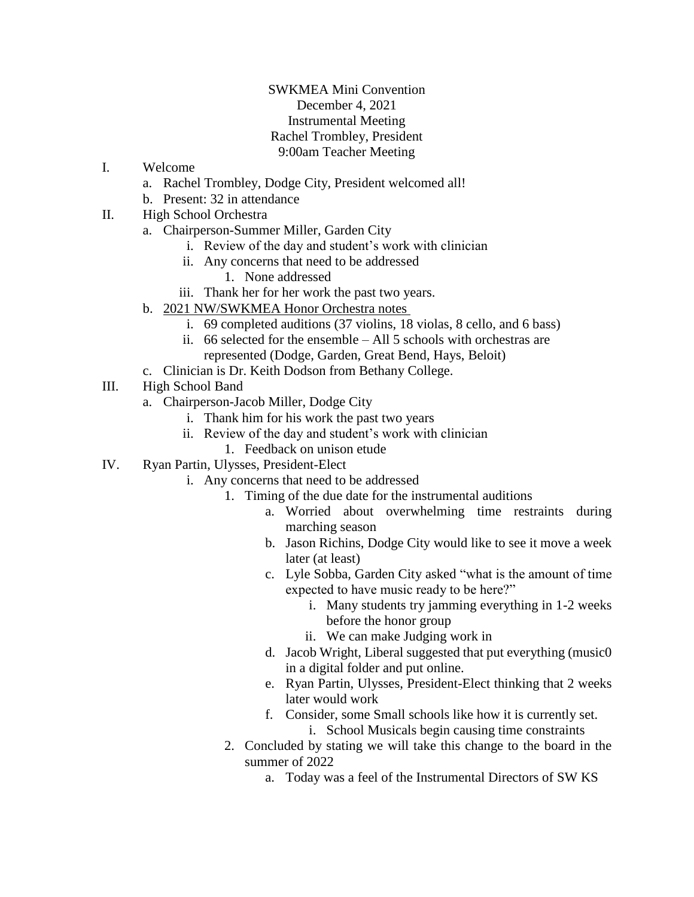## SWKMEA Mini Convention December 4, 2021 Instrumental Meeting Rachel Trombley, President 9:00am Teacher Meeting

- I. Welcome
	- a. Rachel Trombley, Dodge City, President welcomed all!
	- b. Present: 32 in attendance
- II. High School Orchestra
	- a. Chairperson-Summer Miller, Garden City
		- i. Review of the day and student's work with clinician
		- ii. Any concerns that need to be addressed
			- 1. None addressed
		- iii. Thank her for her work the past two years.
	- b. 2021 NW/SWKMEA Honor Orchestra notes
		- i. 69 completed auditions (37 violins, 18 violas, 8 cello, and 6 bass)
		- ii. 66 selected for the ensemble All 5 schools with orchestras are represented (Dodge, Garden, Great Bend, Hays, Beloit)
	- c. Clinician is Dr. Keith Dodson from Bethany College.
- III. High School Band
	- a. Chairperson-Jacob Miller, Dodge City
		- i. Thank him for his work the past two years
		- ii. Review of the day and student's work with clinician
			- 1. Feedback on unison etude
- IV. Ryan Partin, Ulysses, President-Elect
	- i. Any concerns that need to be addressed
		- 1. Timing of the due date for the instrumental auditions
			- a. Worried about overwhelming time restraints during marching season
			- b. Jason Richins, Dodge City would like to see it move a week later (at least)
			- c. Lyle Sobba, Garden City asked "what is the amount of time expected to have music ready to be here?"
				- i. Many students try jamming everything in 1-2 weeks before the honor group
				- ii. We can make Judging work in
			- d. Jacob Wright, Liberal suggested that put everything (music0 in a digital folder and put online.
			- e. Ryan Partin, Ulysses, President-Elect thinking that 2 weeks later would work
			- f. Consider, some Small schools like how it is currently set. i. School Musicals begin causing time constraints
			- 2. Concluded by stating we will take this change to the board in the summer of 2022
				- a. Today was a feel of the Instrumental Directors of SW KS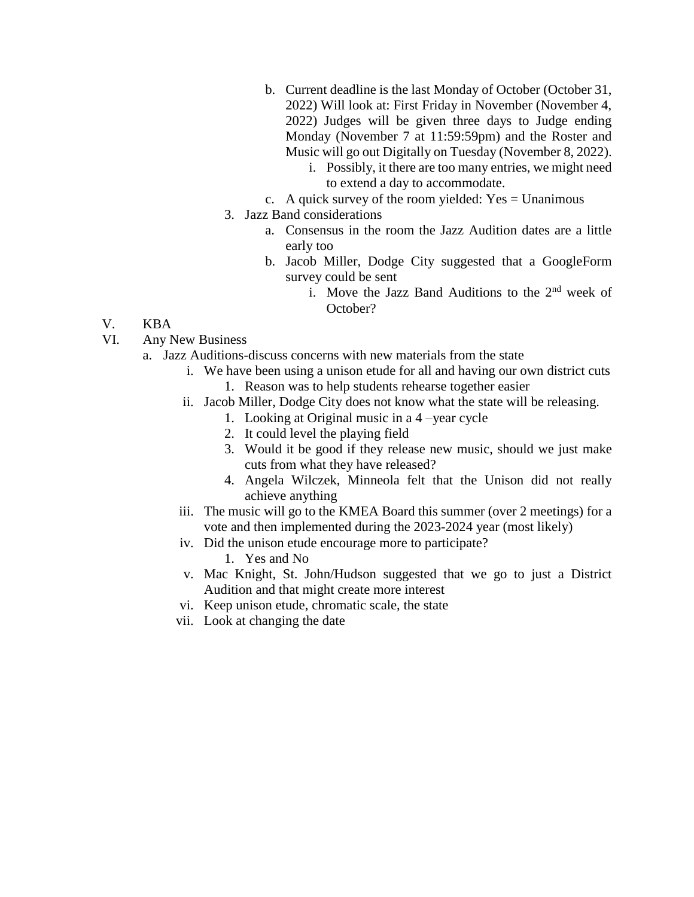- b. Current deadline is the last Monday of October (October 31, 2022) Will look at: First Friday in November (November 4, 2022) Judges will be given three days to Judge ending Monday (November 7 at 11:59:59pm) and the Roster and Music will go out Digitally on Tuesday (November 8, 2022).
	- i. Possibly, it there are too many entries, we might need to extend a day to accommodate.
- c. A quick survey of the room yielded:  $Yes = Unanimous$
- 3. Jazz Band considerations
	- a. Consensus in the room the Jazz Audition dates are a little early too
	- b. Jacob Miller, Dodge City suggested that a GoogleForm survey could be sent
		- i. Move the Jazz Band Auditions to the 2<sup>nd</sup> week of October?

## V. KBA

- VI. Any New Business
	- a. Jazz Auditions-discuss concerns with new materials from the state
		- i. We have been using a unison etude for all and having our own district cuts 1. Reason was to help students rehearse together easier
		- ii. Jacob Miller, Dodge City does not know what the state will be releasing.
			- 1. Looking at Original music in a 4 –year cycle
			- 2. It could level the playing field
			- 3. Would it be good if they release new music, should we just make cuts from what they have released?
			- 4. Angela Wilczek, Minneola felt that the Unison did not really achieve anything
		- iii. The music will go to the KMEA Board this summer (over 2 meetings) for a vote and then implemented during the 2023-2024 year (most likely)
		- iv. Did the unison etude encourage more to participate?
			- 1. Yes and No
		- v. Mac Knight, St. John/Hudson suggested that we go to just a District Audition and that might create more interest
		- vi. Keep unison etude, chromatic scale, the state
		- vii. Look at changing the date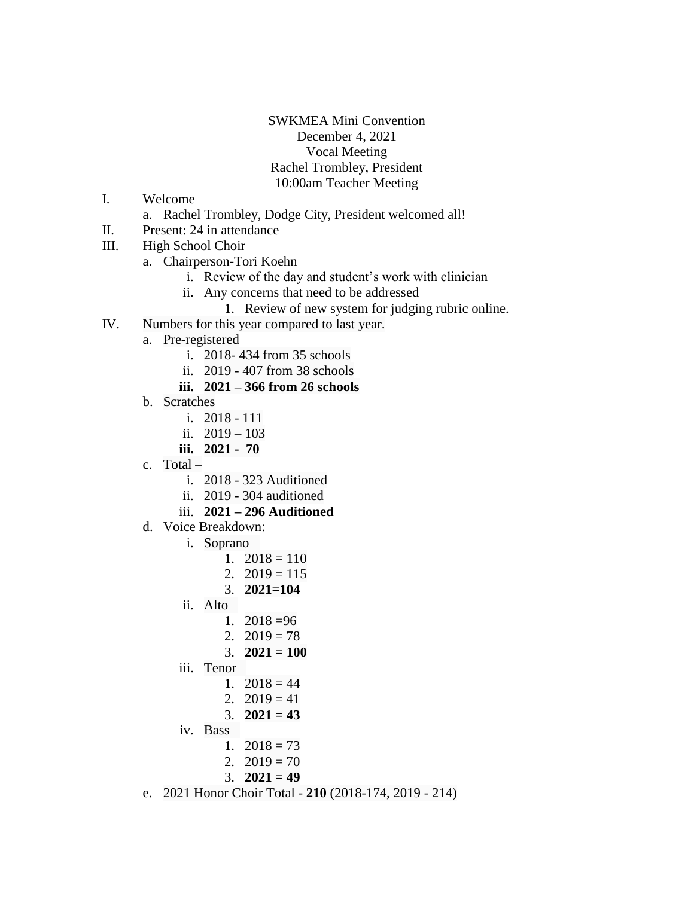## SWKMEA Mini Convention December 4, 2021 Vocal Meeting Rachel Trombley, President 10:00am Teacher Meeting

- I. Welcome
	- a. Rachel Trombley, Dodge City, President welcomed all!
- II. Present: 24 in attendance
- III. High School Choir
	- a. Chairperson-Tori Koehn
		- i. Review of the day and student's work with clinician
		- ii. Any concerns that need to be addressed
			- 1. Review of new system for judging rubric online.
- IV. Numbers for this year compared to last year.
	- a. Pre-registered
		- i. 2018- 434 from 35 schools
		- ii. 2019 407 from 38 schools
		- **iii. 2021 – 366 from 26 schools**
	- b. Scratches
		- i. 2018 111
		- ii.  $2019 103$
		- **iii. 2021 70**
	- c. Total
		- i. 2018 323 Auditioned
		- ii. 2019 304 auditioned
		- iii. **2021 – 296 Auditioned**
	- d. Voice Breakdown:
		- i. Soprano
			- 1.  $2018 = 110$
			- 2.  $2019 = 115$
			- 3. **2021=104**
		- ii. Alto
			- 1.  $2018 = 96$
			- 2.  $2019 = 78$
			- 3. **2021 = 100**
		- iii. Tenor
			- 1.  $2018 = 44$
			- 2.  $2019 = 41$
			- 3. **2021 = 43**
		- iv. Bass
			- 1.  $2018 = 73$ 
				- 2.  $2019 = 70$
				- 3. **2021 = 49**
	- e. 2021 Honor Choir Total **210** (2018-174, 2019 214)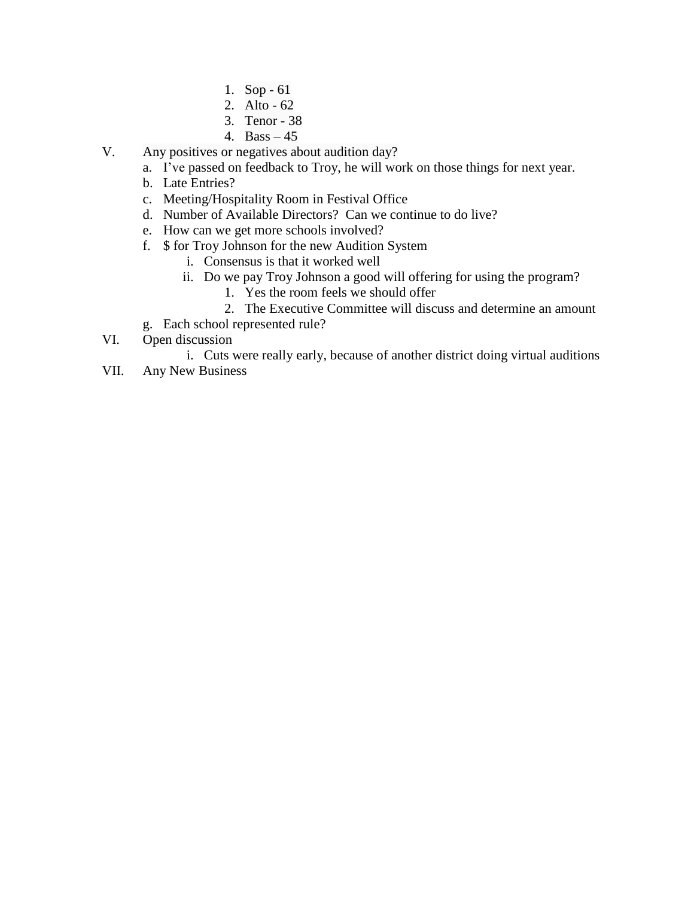- 1. Sop 61
- 2. Alto 62
- 3. Tenor 38
- 4. Bass 45
- V. Any positives or negatives about audition day?
	- a. I've passed on feedback to Troy, he will work on those things for next year.
	- b. Late Entries?
	- c. Meeting/Hospitality Room in Festival Office
	- d. Number of Available Directors? Can we continue to do live?
	- e. How can we get more schools involved?
	- f. \$ for Troy Johnson for the new Audition System
		- i. Consensus is that it worked well
		- ii. Do we pay Troy Johnson a good will offering for using the program?
			- 1. Yes the room feels we should offer
			- 2. The Executive Committee will discuss and determine an amount
	- g. Each school represented rule?
- VI. Open discussion
	- i. Cuts were really early, because of another district doing virtual auditions
- VII. Any New Business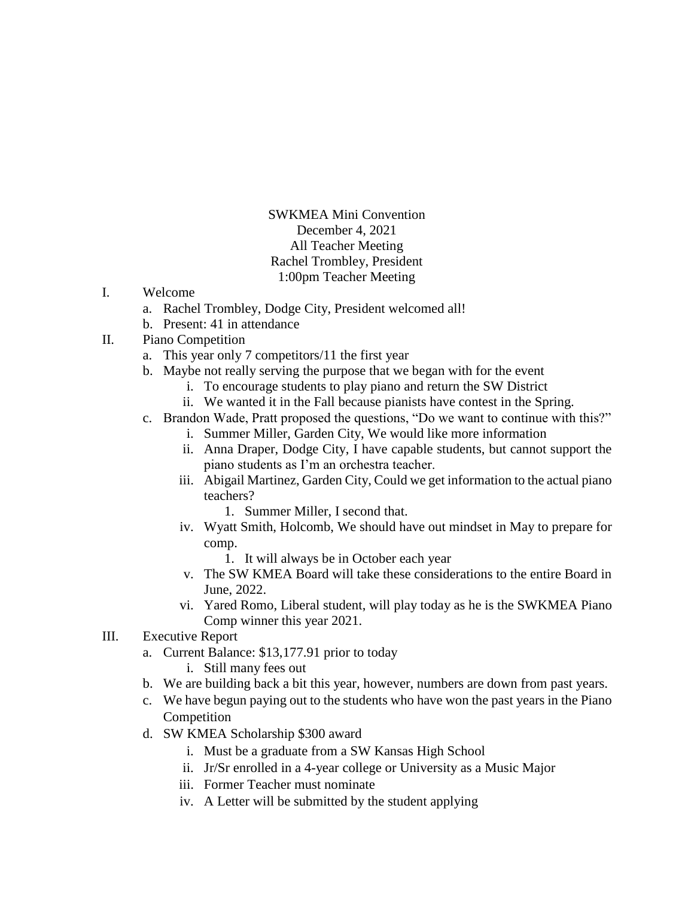SWKMEA Mini Convention December 4, 2021 All Teacher Meeting Rachel Trombley, President 1:00pm Teacher Meeting

- I. Welcome
	- a. Rachel Trombley, Dodge City, President welcomed all!
	- b. Present: 41 in attendance
- II. Piano Competition
	- a. This year only 7 competitors/11 the first year
	- b. Maybe not really serving the purpose that we began with for the event
		- i. To encourage students to play piano and return the SW District
		- ii. We wanted it in the Fall because pianists have contest in the Spring.
	- c. Brandon Wade, Pratt proposed the questions, "Do we want to continue with this?"
		- i. Summer Miller, Garden City, We would like more information
		- ii. Anna Draper, Dodge City, I have capable students, but cannot support the piano students as I'm an orchestra teacher.
		- iii. Abigail Martinez, Garden City, Could we get information to the actual piano teachers?
			- 1. Summer Miller, I second that.
		- iv. Wyatt Smith, Holcomb, We should have out mindset in May to prepare for comp.
			- 1. It will always be in October each year
		- v. The SW KMEA Board will take these considerations to the entire Board in June, 2022.
		- vi. Yared Romo, Liberal student, will play today as he is the SWKMEA Piano Comp winner this year 2021.
- III. Executive Report
	- a. Current Balance: \$13,177.91 prior to today
		- i. Still many fees out
	- b. We are building back a bit this year, however, numbers are down from past years.
	- c. We have begun paying out to the students who have won the past years in the Piano Competition
	- d. SW KMEA Scholarship \$300 award
		- i. Must be a graduate from a SW Kansas High School
		- ii. Jr/Sr enrolled in a 4-year college or University as a Music Major
		- iii. Former Teacher must nominate
		- iv. A Letter will be submitted by the student applying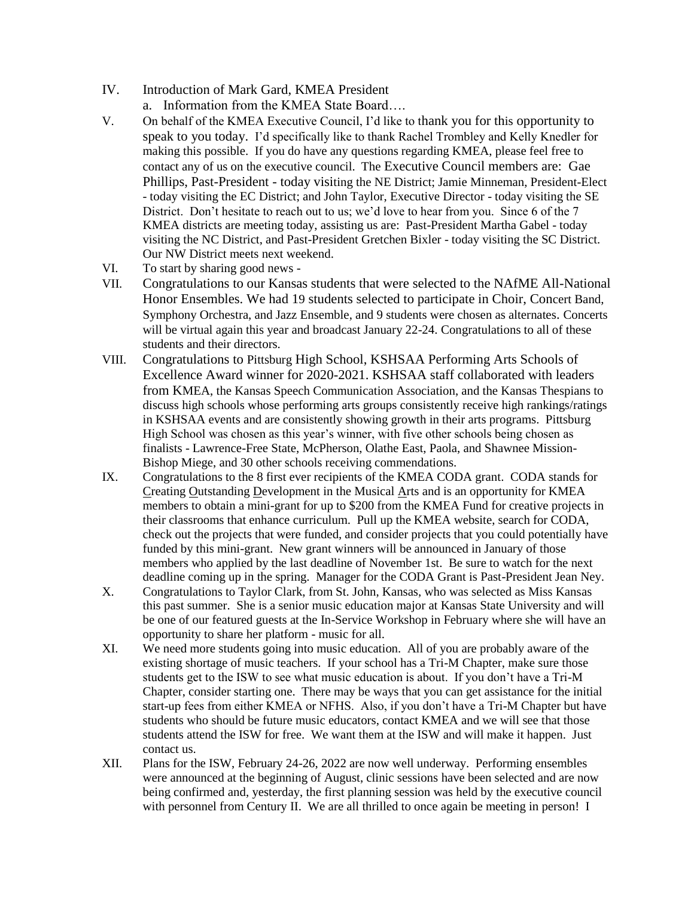- IV. Introduction of Mark Gard, KMEA President
	- a. Information from the KMEA State Board….
- V. On behalf of the KMEA Executive Council, I'd like to thank you for this opportunity to speak to you today. I'd specifically like to thank Rachel Trombley and Kelly Knedler for making this possible. If you do have any questions regarding KMEA, please feel free to contact any of us on the executive council. The Executive Council members are: Gae Phillips, Past-President - today visiting the NE District; Jamie Minneman, President-Elect - today visiting the EC District; and John Taylor, Executive Director - today visiting the SE District. Don't hesitate to reach out to us; we'd love to hear from you. Since 6 of the 7 KMEA districts are meeting today, assisting us are: Past-President Martha Gabel - today visiting the NC District, and Past-President Gretchen Bixler - today visiting the SC District. Our NW District meets next weekend.
- VI. To start by sharing good news -
- VII. Congratulations to our Kansas students that were selected to the NAfME All-National Honor Ensembles. We had 19 students selected to participate in Choir, Concert Band, Symphony Orchestra, and Jazz Ensemble, and 9 students were chosen as alternates. Concerts will be virtual again this year and broadcast January 22-24. Congratulations to all of these students and their directors.
- VIII. Congratulations to Pittsburg High School, KSHSAA Performing Arts Schools of Excellence Award winner for 2020-2021. KSHSAA staff collaborated with leaders from KMEA, the Kansas Speech Communication Association, and the Kansas Thespians to discuss high schools whose performing arts groups consistently receive high rankings/ratings in KSHSAA events and are consistently showing growth in their arts programs. Pittsburg High School was chosen as this year's winner, with five other schools being chosen as finalists - Lawrence-Free State, McPherson, Olathe East, Paola, and Shawnee Mission-Bishop Miege, and 30 other schools receiving commendations.
- IX. Congratulations to the 8 first ever recipients of the KMEA CODA grant. CODA stands for Creating Outstanding Development in the Musical Arts and is an opportunity for KMEA members to obtain a mini-grant for up to \$200 from the KMEA Fund for creative projects in their classrooms that enhance curriculum. Pull up the KMEA website, search for CODA, check out the projects that were funded, and consider projects that you could potentially have funded by this mini-grant. New grant winners will be announced in January of those members who applied by the last deadline of November 1st. Be sure to watch for the next deadline coming up in the spring. Manager for the CODA Grant is Past-President Jean Ney.
- X. Congratulations to Taylor Clark, from St. John, Kansas, who was selected as Miss Kansas this past summer. She is a senior music education major at Kansas State University and will be one of our featured guests at the In-Service Workshop in February where she will have an opportunity to share her platform - music for all.
- XI. We need more students going into music education. All of you are probably aware of the existing shortage of music teachers. If your school has a Tri-M Chapter, make sure those students get to the ISW to see what music education is about. If you don't have a Tri-M Chapter, consider starting one. There may be ways that you can get assistance for the initial start-up fees from either KMEA or NFHS. Also, if you don't have a Tri-M Chapter but have students who should be future music educators, contact KMEA and we will see that those students attend the ISW for free. We want them at the ISW and will make it happen. Just contact us.
- XII. Plans for the ISW, February 24-26, 2022 are now well underway. Performing ensembles were announced at the beginning of August, clinic sessions have been selected and are now being confirmed and, yesterday, the first planning session was held by the executive council with personnel from Century II. We are all thrilled to once again be meeting in person! I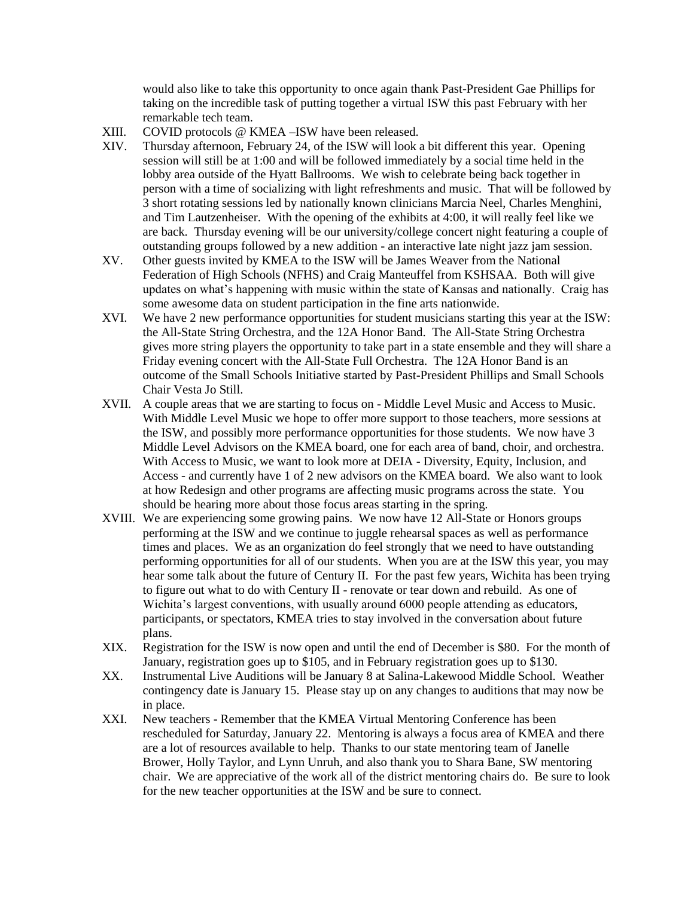would also like to take this opportunity to once again thank Past-President Gae Phillips for taking on the incredible task of putting together a virtual ISW this past February with her remarkable tech team.

- XIII. COVID protocols @ KMEA –ISW have been released.
- XIV. Thursday afternoon, February 24, of the ISW will look a bit different this year. Opening session will still be at 1:00 and will be followed immediately by a social time held in the lobby area outside of the Hyatt Ballrooms. We wish to celebrate being back together in person with a time of socializing with light refreshments and music. That will be followed by 3 short rotating sessions led by nationally known clinicians Marcia Neel, Charles Menghini, and Tim Lautzenheiser. With the opening of the exhibits at 4:00, it will really feel like we are back. Thursday evening will be our university/college concert night featuring a couple of outstanding groups followed by a new addition - an interactive late night jazz jam session.
- XV. Other guests invited by KMEA to the ISW will be James Weaver from the National Federation of High Schools (NFHS) and Craig Manteuffel from KSHSAA. Both will give updates on what's happening with music within the state of Kansas and nationally. Craig has some awesome data on student participation in the fine arts nationwide.
- XVI. We have 2 new performance opportunities for student musicians starting this year at the ISW: the All-State String Orchestra, and the 12A Honor Band. The All-State String Orchestra gives more string players the opportunity to take part in a state ensemble and they will share a Friday evening concert with the All-State Full Orchestra. The 12A Honor Band is an outcome of the Small Schools Initiative started by Past-President Phillips and Small Schools Chair Vesta Jo Still.
- XVII. A couple areas that we are starting to focus on Middle Level Music and Access to Music. With Middle Level Music we hope to offer more support to those teachers, more sessions at the ISW, and possibly more performance opportunities for those students. We now have 3 Middle Level Advisors on the KMEA board, one for each area of band, choir, and orchestra. With Access to Music, we want to look more at DEIA - Diversity, Equity, Inclusion, and Access - and currently have 1 of 2 new advisors on the KMEA board. We also want to look at how Redesign and other programs are affecting music programs across the state. You should be hearing more about those focus areas starting in the spring.
- XVIII. We are experiencing some growing pains. We now have 12 All-State or Honors groups performing at the ISW and we continue to juggle rehearsal spaces as well as performance times and places. We as an organization do feel strongly that we need to have outstanding performing opportunities for all of our students. When you are at the ISW this year, you may hear some talk about the future of Century II. For the past few years, Wichita has been trying to figure out what to do with Century II - renovate or tear down and rebuild. As one of Wichita's largest conventions, with usually around 6000 people attending as educators, participants, or spectators, KMEA tries to stay involved in the conversation about future plans.
- XIX. Registration for the ISW is now open and until the end of December is \$80. For the month of January, registration goes up to \$105, and in February registration goes up to \$130.
- XX. Instrumental Live Auditions will be January 8 at Salina-Lakewood Middle School. Weather contingency date is January 15. Please stay up on any changes to auditions that may now be in place.
- XXI. New teachers Remember that the KMEA Virtual Mentoring Conference has been rescheduled for Saturday, January 22. Mentoring is always a focus area of KMEA and there are a lot of resources available to help. Thanks to our state mentoring team of Janelle Brower, Holly Taylor, and Lynn Unruh, and also thank you to Shara Bane, SW mentoring chair. We are appreciative of the work all of the district mentoring chairs do. Be sure to look for the new teacher opportunities at the ISW and be sure to connect.